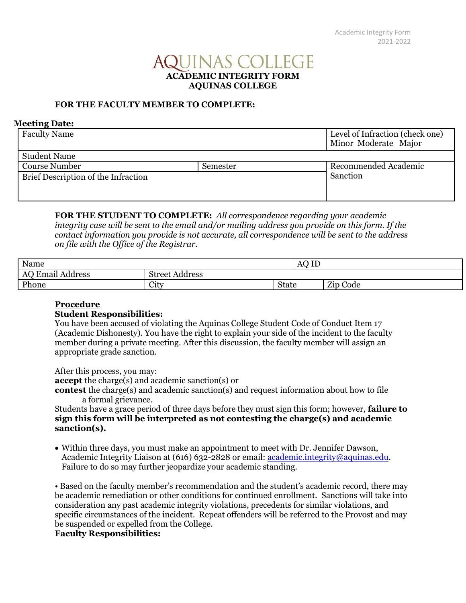# JINAS COLLEGE **ACADEMIC INTEGRITY FORM AQUINAS COLLEGE**

## **FOR THE FACULTY MEMBER TO COMPLETE:**

#### **Meeting Date:**

| <b>Faculty Name</b>                 |          | Level of Infraction (check one)<br>Minor Moderate Major |
|-------------------------------------|----------|---------------------------------------------------------|
| <b>Student Name</b>                 |          |                                                         |
| <b>Course Number</b>                | Semester | Recommended Academic                                    |
| Brief Description of the Infraction |          | Sanction                                                |
|                                     |          |                                                         |
|                                     |          |                                                         |

**FOR THE STUDENT TO COMPLETE:** *All correspondence regarding your academic integrity case will be sent to the email and/or mailing address you provide on this form. If the contact information you provide is not accurate, all correspondence will be sent to the address on file with the Office of the Registrar.* 

| Name                                                          |                          | T<br><b>AQ</b><br>TF |          |  |
|---------------------------------------------------------------|--------------------------|----------------------|----------|--|
| - 7<br>$^{\bullet}$<br>$\mathbf{r}$<br>Address<br>Email<br>AC | . .<br>Street<br>Address |                      |          |  |
| Phone                                                         | City                     | <b>State</b>         | Zip Code |  |

### **Procedure**

## **Student Responsibilities:**

You have been accused of violating the Aquinas College Student Code of Conduct Item 17 (Academic Dishonesty). You have the right to explain your side of the incident to the faculty member during a private meeting. After this discussion, the faculty member will assign an appropriate grade sanction.

After this process, you may: **accept** the charge(s) and academic sanction(s) or **contest** the charge(s) and academic sanction(s) and request information about how to file a formal grievance.

Students have a grace period of three days before they must sign this form; however, **failure to sign this form will be interpreted as not contesting the charge(s) and academic sanction(s).**

 Within three days, you must make an appointment to meet with Dr. Jennifer Dawson, Academic Integrity Liaison at (616) 632-2828 or email: [academic.integrity@aquinas.edu.](mailto:academic.integrity@aquinas.edu) Failure to do so may further jeopardize your academic standing.

• Based on the faculty member's recommendation and the student's academic record, there may be academic remediation or other conditions for continued enrollment. Sanctions will take into consideration any past academic integrity violations, precedents for similar violations, and specific circumstances of the incident. Repeat offenders will be referred to the Provost and may be suspended or expelled from the College.

## **Faculty Responsibilities:**